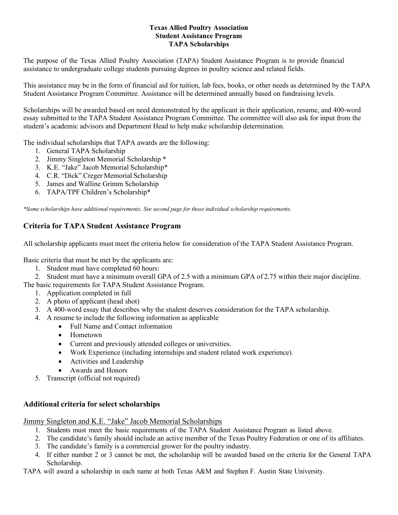### **Texas Allied Poultry Association Student Assistance Program TAPA Scholarships**

The purpose of the Texas Allied Poultry Association (TAPA) Student Assistance Program is to provide financial assistance to undergraduate college students pursuing degrees in poultry science and related fields.

This assistance may be in the form of financial aid for tuition, lab fees, books, or other needs as determined by the TAPA Student Assistance Program Committee. Assistance will be determined annually based on fundraising levels.

Scholarships will be awarded based on need demonstrated by the applicant in their application, resume, and 400-word essay submitted to the TAPA Student Assistance Program Committee. The committee will also ask for input from the student's academic advisors and Department Head to help make scholarship determination.

The individual scholarships that TAPA awards are the following:

- 1. General TAPA Scholarship
- 2. Jimmy Singleton Memorial Scholarship \*
- 3. K.E. "Jake" Jacob Memorial Scholarship\*
- 4. C.R. "Dick" Creger Memorial Scholarship
- 5. James and Walline Grimm Scholarship
- 6. TAPA/TPF Children's Scholarship\*

*\*Some scholarships have additional requirements*. *See second page for those individual scholarship requirements.*

# **Criteria for TAPA Student Assistance Program**

All scholarship applicants must meet the criteria below for consideration of the TAPA Student Assistance Program.

Basic criteria that must be met by the applicants are:

- 1. Student must have completed 60 hours:
- 2. Student must have a minimum overall GPA of 2.5 with a minimum GPA of 2.75 within their major discipline.

The basic requirements for TAPA Student Assistance Program.

- 1. Application completed in full
- 2. A photo of applicant (head shot)
- 3. A 400-word essay that describes why the student deserves consideration for the TAPA scholarship.
- 4. A resume to include the following information as applicable
	- Full Name and Contact information
	- Hometown
	- Current and previously attended colleges or universities.
	- Work Experience (including internships and student related work experience).
	- Activities and Leadership
	- Awards and Honors
- 5. Transcript (official not required)

### **Additional criteria for select scholarships**

#### Jimmy Singleton and K.E. "Jake" Jacob Memorial Scholarships

- 1. Students must meet the basic requirements of the TAPA Student Assistance Program as listed above.
- 2. The candidate's family should include an active member of the Texas Poultry Federation or one of its affiliates.
- 3. The candidate's family is a commercial grower for the poultry industry.
- 4. If either number 2 or 3 cannot be met, the scholarship will be awarded based on the criteria for the General TAPA Scholarship.

TAPA will award a scholarship in each name at both Texas A&M and Stephen F. Austin State University.